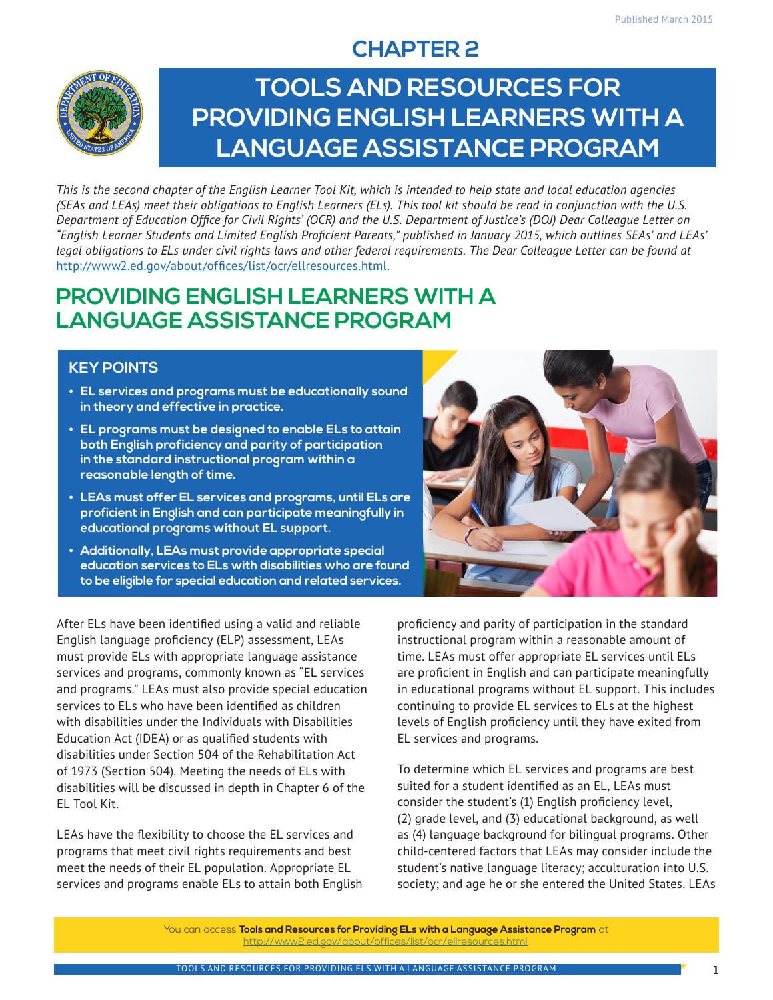### **CHAPTER 2**



# **TOOLS AND RESOURCES FOR PROVIDING ENGLISH LEARNERS WITH A LANGUAGE ASSISTANCE PROGRAM**

*This is the second chapter of the English Learner Tool Kit, which is intended to help state and local education agencies (SEAs and LEAs) meet their obligations to English Learners (ELs). This tool kit should be read in conjunction with the U.S. Department of Education Office for Civil Rights' (OCR) and the U.S. Department of Justice's (DOJ) Dear Colleague Letter on "English Learner Students and Limited English Proficient Parents," published in January 2015, which outlines SEAs' and LEAs' legal obligations to ELs under civil rights laws and other federal requirements. The Dear Colleague Letter can be found at*  [http://www2.ed.gov/about/offices/list/ocr/ellresources.html.](http://www2.ed.gov/about/offices/list/ocr/ellresources.html)

### **PROVIDING ENGLISH LEARNERS WITH A LANGUAGE ASSISTANCE PROGRAM**

#### **KEY POINTS**

- **• EL services and programs must be educationally sound in theory and effective in practice.**
- **• EL programs must be designed to enable ELs to attain both English proficiency and parity of participation in the standard instructional program within a reasonable length of time.**
- **• LEAs must offer EL services and programs, until ELs are proficient in English and can participate meaningfully in educational programs without EL support.**
- **• Additionally, LEAs must provide appropriate special education services to ELs with disabilities who are found to be eligible for special education and related services.**

After ELs have been identified using a valid and reliable English language proficiency (ELP) assessment, LEAs must provide ELs with appropriate language assistance services and programs, commonly known as "EL services and programs." LEAs must also provide special education services to ELs who have been identified as children with disabilities under the Individuals with Disabilities Education Act (IDEA) or as qualified students with disabilities under Section 504 of the Rehabilitation Act of 1973 (Section 504). Meeting the needs of ELs with disabilities will be discussed in depth in Chapter 6 of the EL Tool Kit.

LEAs have the flexibility to choose the EL services and programs that meet civil rights requirements and best meet the needs of their EL population. Appropriate EL services and programs enable ELs to attain both English



proficiency and parity of participation in the standard instructional program within a reasonable amount of time. LEAs must offer appropriate EL services until ELs are proficient in English and can participate meaningfully in educational programs without EL support. This includes continuing to provide EL services to ELs at the highest levels of English proficiency until they have exited from EL services and programs.

To determine which EL services and programs are best suited for a student identified as an EL, LEAs must consider the student's (1) English proficiency level, (2) grade level, and (3) educational background, as well as (4) language background for bilingual programs. Other child-centered factors that LEAs may consider include the student's native language literacy; acculturation into U.S. society; and age he or she entered the United States. LEAs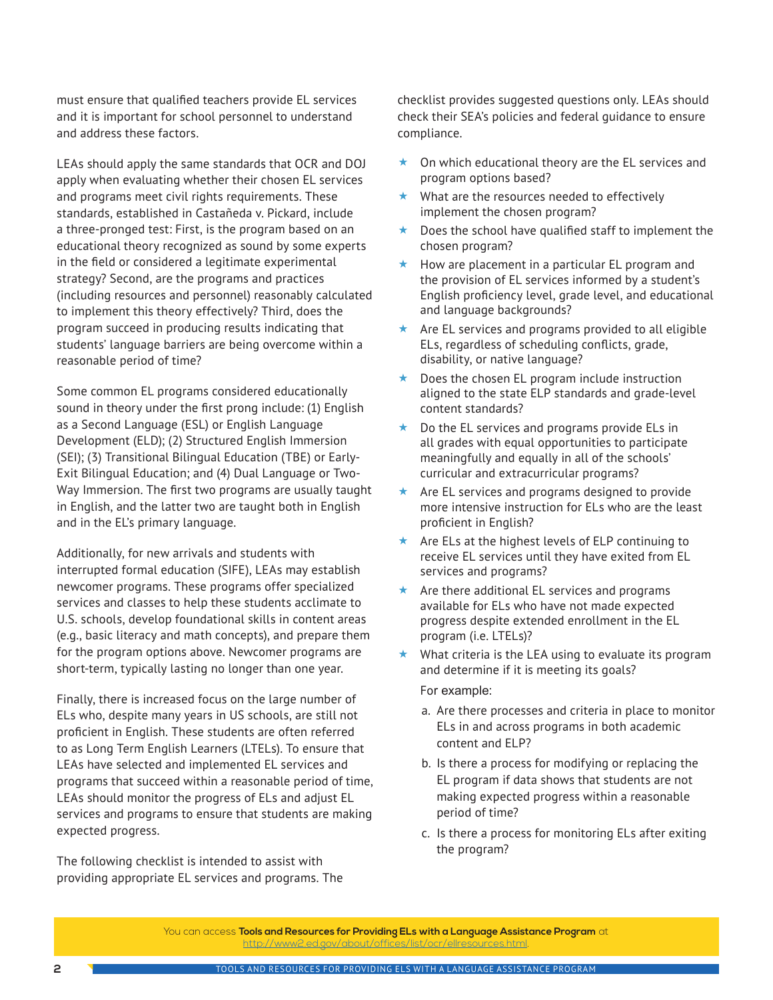must ensure that qualified teachers provide EL services and it is important for school personnel to understand and address these factors.

LEAs should apply the same standards that OCR and DOJ apply when evaluating whether their chosen EL services and programs meet civil rights requirements. These standards, established in Castañeda v. Pickard, include a three-pronged test: First, is the program based on an educational theory recognized as sound by some experts in the field or considered a legitimate experimental strategy? Second, are the programs and practices (including resources and personnel) reasonably calculated to implement this theory effectively? Third, does the program succeed in producing results indicating that students' language barriers are being overcome within a reasonable period of time?

Some common EL programs considered educationally sound in theory under the first prong include: (1) English as a Second Language (ESL) or English Language Development (ELD); (2) Structured English Immersion (SEI); (3) Transitional Bilingual Education (TBE) or Early-Exit Bilingual Education; and (4) Dual Language or Two-Way Immersion. The first two programs are usually taught in English, and the latter two are taught both in English and in the EL's primary language.

Additionally, for new arrivals and students with interrupted formal education (SIFE), LEAs may establish newcomer programs. These programs offer specialized services and classes to help these students acclimate to U.S. schools, develop foundational skills in content areas (e.g., basic literacy and math concepts), and prepare them for the program options above. Newcomer programs are short-term, typically lasting no longer than one year.

Finally, there is increased focus on the large number of ELs who, despite many years in US schools, are still not proficient in English. These students are often referred to as Long Term English Learners (LTELs). To ensure that LEAs have selected and implemented EL services and programs that succeed within a reasonable period of time, LEAs should monitor the progress of ELs and adjust EL services and programs to ensure that students are making expected progress.

The following checklist is intended to assist with providing appropriate EL services and programs. The checklist provides suggested questions only. LEAs should check their SEA's policies and federal guidance to ensure compliance.

- $\star$  On which educational theory are the EL services and program options based?
- $\star$  What are the resources needed to effectively implement the chosen program?
- $\star$  Does the school have qualified staff to implement the chosen program?
- $\star$  How are placement in a particular EL program and the provision of EL services informed by a student's English proficiency level, grade level, and educational and language backgrounds?
- $\star$  Are EL services and programs provided to all eligible ELs, regardless of scheduling conflicts, grade, disability, or native language?
- Does the chosen EL program include instruction aligned to the state ELP standards and grade-level content standards?
- $\star$  Do the EL services and programs provide ELs in all grades with equal opportunities to participate meaningfully and equally in all of the schools' curricular and extracurricular programs?
- $\star$  Are EL services and programs designed to provide more intensive instruction for ELs who are the least proficient in English?
- $\star$  Are ELs at the highest levels of ELP continuing to receive EL services until they have exited from EL services and programs?
- $\star$  Are there additional EL services and programs available for ELs who have not made expected progress despite extended enrollment in the EL program (i.e. LTELs)?
- $\star$  What criteria is the LEA using to evaluate its program and determine if it is meeting its goals?

#### For example:

- a. Are there processes and criteria in place to monitor ELs in and across programs in both academic content and ELP?
- b. Is there a process for modifying or replacing the EL program if data shows that students are not making expected progress within a reasonable period of time?
- c. Is there a process for monitoring ELs after exiting the program?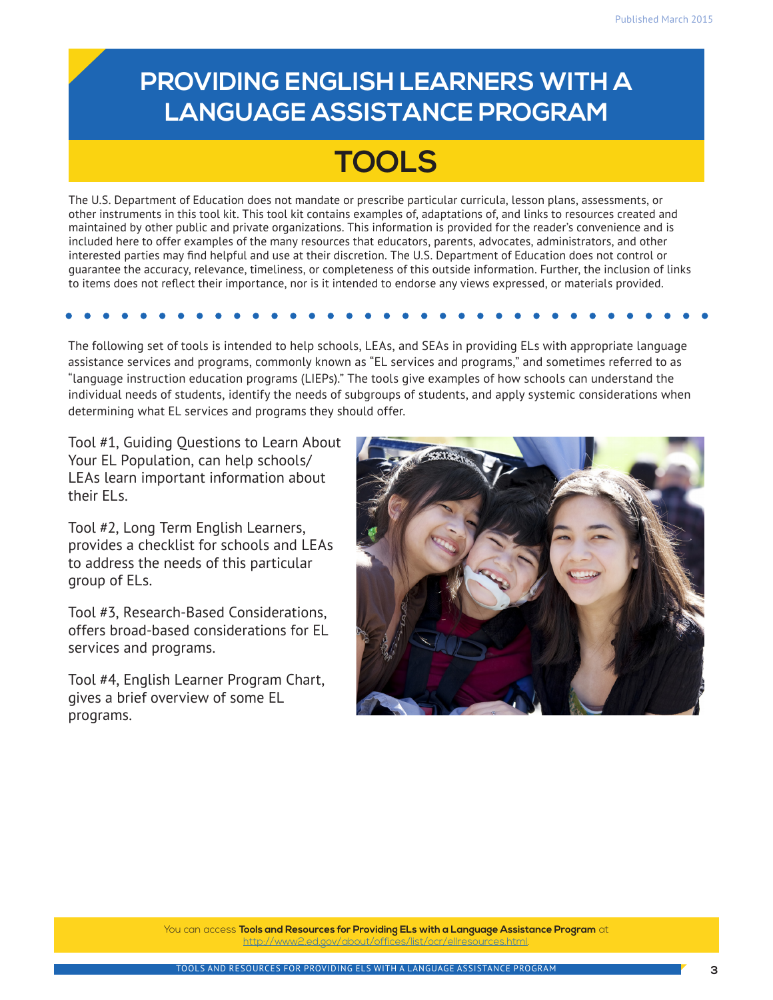### **PROVIDING ENGLISH LEARNERS WITH A LANGUAGE ASSISTANCE PROGRAM**

# **TOOLS**

The U.S. Department of Education does not mandate or prescribe particular curricula, lesson plans, assessments, or other instruments in this tool kit. This tool kit contains examples of, adaptations of, and links to resources created and maintained by other public and private organizations. This information is provided for the reader's convenience and is included here to offer examples of the many resources that educators, parents, advocates, administrators, and other interested parties may find helpful and use at their discretion. The U.S. Department of Education does not control or guarantee the accuracy, relevance, timeliness, or completeness of this outside information. Further, the inclusion of links to items does not reflect their importance, nor is it intended to endorse any views expressed, or materials provided.

The following set of tools is intended to help schools, LEAs, and SEAs in providing ELs with appropriate language assistance services and programs, commonly known as "EL services and programs," and sometimes referred to as "language instruction education programs (LIEPs)." The tools give examples of how schools can understand the individual needs of students, identify the needs of subgroups of students, and apply systemic considerations when determining what EL services and programs they should offer.

Tool #1, Guiding Questions to Learn About Your EL Population, can help schools/ LEAs learn important information about their ELs.

Tool #2, Long Term English Learners, provides a checklist for schools and LEAs to address the needs of this particular group of ELs.

Tool #3, Research-Based Considerations, offers broad-based considerations for EL services and programs.

Tool #4, English Learner Program Chart, gives a brief overview of some EL programs.

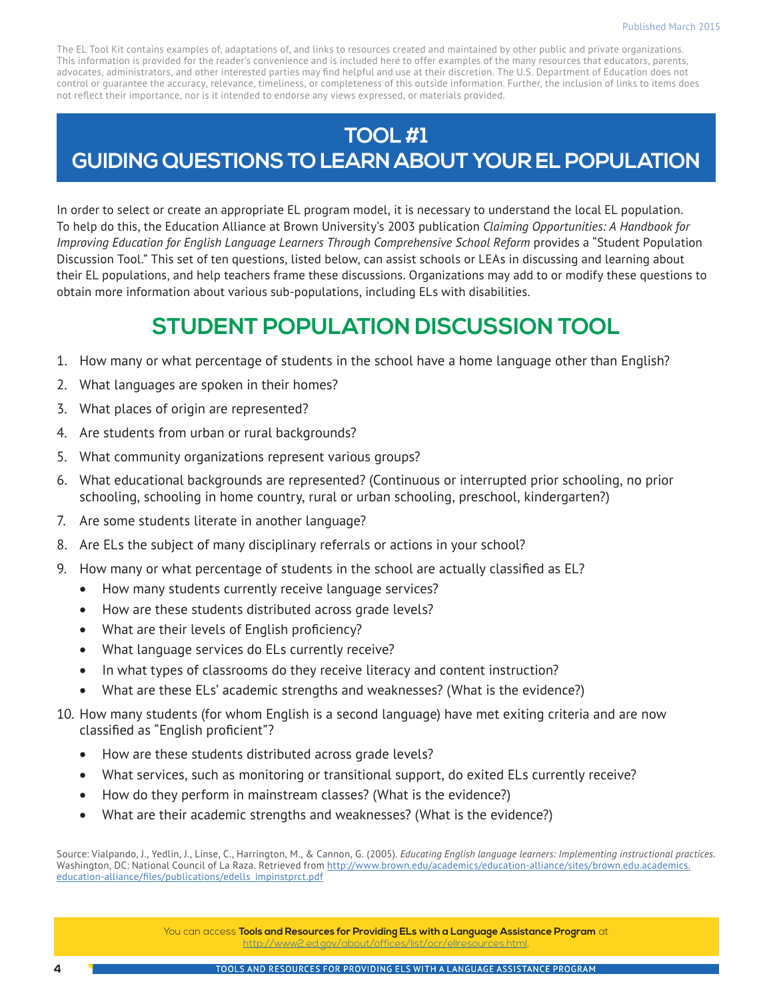### **TOOL #1 GUIDING QUESTIONS TO LEARN ABOUT YOUR EL POPULATION**

In order to select or create an appropriate EL program model, it is necessary to understand the local EL population. To help do this, the Education Alliance at Brown University's 2003 publication *Claiming Opportunities: A Handbook for Improving Education for English Language Learners Through Comprehensive School Reform* provides a "Student Population Discussion Tool." This set of ten questions, listed below, can assist schools or LEAs in discussing and learning about their EL populations, and help teachers frame these discussions. Organizations may add to or modify these questions to obtain more information about various sub-populations, including ELs with disabilities.

### **STUDENT POPULATION DISCUSSION TOOL**

- 1. How many or what percentage of students in the school have a home language other than English?
- 2. What languages are spoken in their homes?
- 3. What places of origin are represented?
- 4. Are students from urban or rural backgrounds?
- 5. What community organizations represent various groups?
- 6. What educational backgrounds are represented? (Continuous or interrupted prior schooling, no prior schooling, schooling in home country, rural or urban schooling, preschool, kindergarten?)
- 7. Are some students literate in another language?
- 8. Are ELs the subject of many disciplinary referrals or actions in your school?
- 9. How many or what percentage of students in the school are actually classified as EL?
	- How many students currently receive language services?
	- How are these students distributed across grade levels?
	- What are their levels of English proficiency?
	- What language services do ELs currently receive?
	- In what types of classrooms do they receive literacy and content instruction?
	- What are these ELs' academic strengths and weaknesses? (What is the evidence?)
- 10. How many students (for whom English is a second language) have met exiting criteria and are now classified as "English proficient"?
	- How are these students distributed across grade levels?
	- What services, such as monitoring or transitional support, do exited ELs currently receive?
	- How do they perform in mainstream classes? (What is the evidence?)
	- What are their academic strengths and weaknesses? (What is the evidence?)

Source: Vialpando, J., Yedlin, J., Linse, C., Harrington, M., & Cannon, G. (2005). *Educating English language learners: Implementing instructional practices*. Washington, DC: National Council of La Raza. Retrieved from [http://www.brown.edu/academics/education-alliance/sites/brown.edu.academics.](http://www.brown.edu/academics/education-alliance/sites/brown.edu.academics.education-alliance/files/publications/edells_impinstprct.pdf) [education-alliance/files/publications/edells\\_impinstprct.pdf](http://www.brown.edu/academics/education-alliance/sites/brown.edu.academics.education-alliance/files/publications/edells_impinstprct.pdf)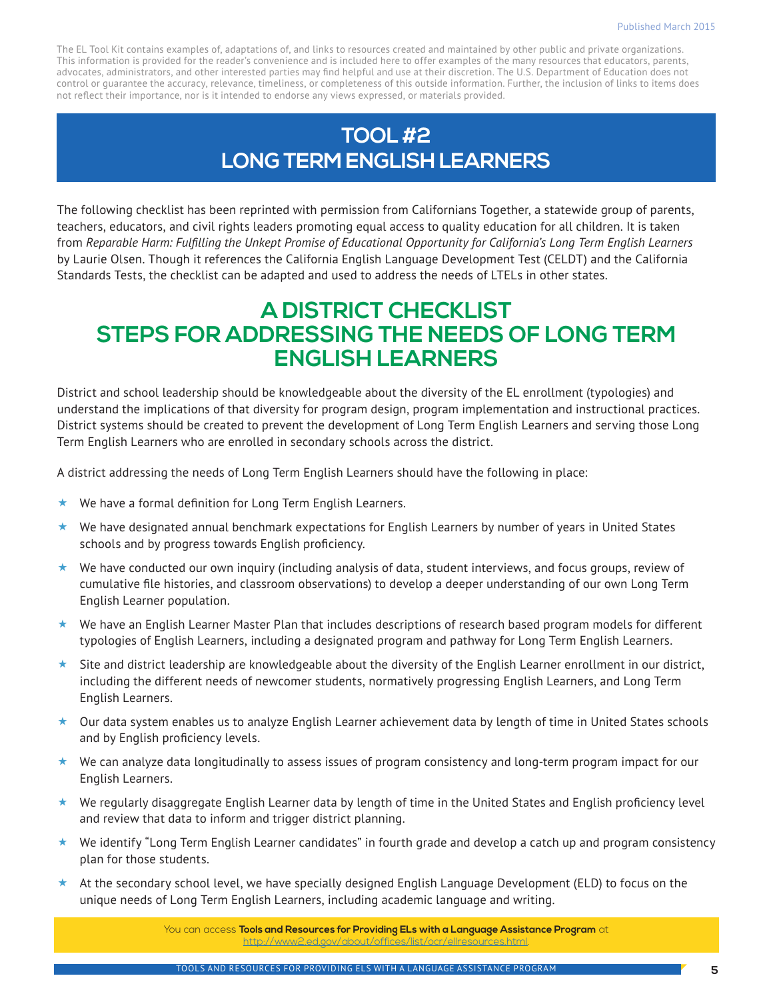### **TOOL #2 LONG TERM ENGLISH LEARNERS**

The following checklist has been reprinted with permission from Californians Together, a statewide group of parents, teachers, educators, and civil rights leaders promoting equal access to quality education for all children. It is taken from *Reparable Harm: Fulfilling the Unkept Promise of Educational Opportunity for California's Long Term English Learners*  by Laurie Olsen. Though it references the California English Language Development Test (CELDT) and the California Standards Tests, the checklist can be adapted and used to address the needs of LTELs in other states.

### **A DISTRICT CHECKLIST STEPS FOR ADDRESSING THE NEEDS OF LONG TERM ENGLISH LEARNERS**

District and school leadership should be knowledgeable about the diversity of the EL enrollment (typologies) and understand the implications of that diversity for program design, program implementation and instructional practices. District systems should be created to prevent the development of Long Term English Learners and serving those Long Term English Learners who are enrolled in secondary schools across the district.

A district addressing the needs of Long Term English Learners should have the following in place:

- $\star$  We have a formal definition for Long Term English Learners.
- $\star$  We have designated annual benchmark expectations for English Learners by number of years in United States schools and by progress towards English proficiency.
- ★ We have conducted our own inquiry (including analysis of data, student interviews, and focus groups, review of cumulative file histories, and classroom observations) to develop a deeper understanding of our own Long Term English Learner population.
- We have an English Learner Master Plan that includes descriptions of research based program models for different typologies of English Learners, including a designated program and pathway for Long Term English Learners.
- Site and district leadership are knowledgeable about the diversity of the English Learner enrollment in our district, including the different needs of newcomer students, normatively progressing English Learners, and Long Term English Learners.
- Our data system enables us to analyze English Learner achievement data by length of time in United States schools and by English proficiency levels.
- $\star$  We can analyze data longitudinally to assess issues of program consistency and long-term program impact for our English Learners.
- $\star$  We regularly disaggregate English Learner data by length of time in the United States and English proficiency level and review that data to inform and trigger district planning.
- We identify "Long Term English Learner candidates" in fourth grade and develop a catch up and program consistency plan for those students.
- $\star$  At the secondary school level, we have specially designed English Language Development (ELD) to focus on the unique needs of Long Term English Learners, including academic language and writing.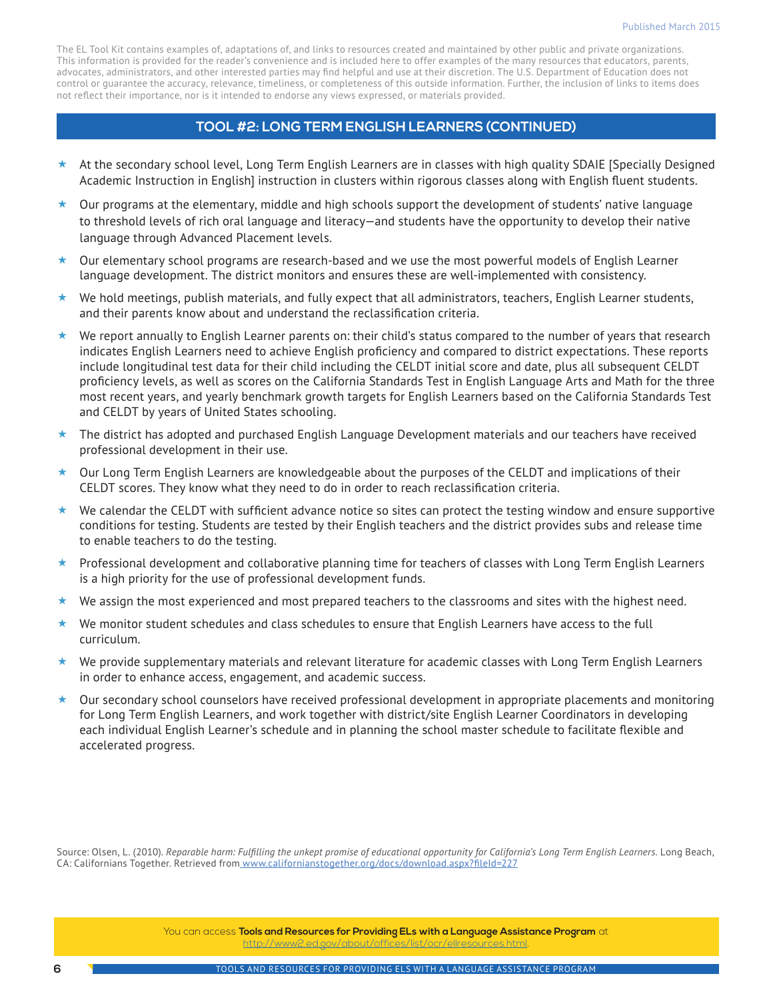#### **TOOL #2: LONG TERM ENGLISH LEARNERS (CONTINUED)**

- $\star$  At the secondary school level, Long Term English Learners are in classes with high quality SDAIE [Specially Designed] Academic Instruction in English] instruction in clusters within rigorous classes along with English fluent students.
- $\star$  Our programs at the elementary, middle and high schools support the development of students' native language to threshold levels of rich oral language and literacy—and students have the opportunity to develop their native language through Advanced Placement levels.
- $\star$  Our elementary school programs are research-based and we use the most powerful models of English Learner language development. The district monitors and ensures these are well-implemented with consistency.
- $\star$  We hold meetings, publish materials, and fully expect that all administrators, teachers, English Learner students, and their parents know about and understand the reclassification criteria.
- $\star$  We report annually to English Learner parents on: their child's status compared to the number of years that research indicates English Learners need to achieve English proficiency and compared to district expectations. These reports include longitudinal test data for their child including the CELDT initial score and date, plus all subsequent CELDT proficiency levels, as well as scores on the California Standards Test in English Language Arts and Math for the three most recent years, and yearly benchmark growth targets for English Learners based on the California Standards Test and CELDT by years of United States schooling.
- ★ The district has adopted and purchased English Language Development materials and our teachers have received professional development in their use.
- ★ Our Long Term English Learners are knowledgeable about the purposes of the CELDT and implications of their CELDT scores. They know what they need to do in order to reach reclassification criteria.
- $\star$  We calendar the CELDT with sufficient advance notice so sites can protect the testing window and ensure supportive conditions for testing. Students are tested by their English teachers and the district provides subs and release time to enable teachers to do the testing.
- ★ Professional development and collaborative planning time for teachers of classes with Long Term English Learners is a high priority for the use of professional development funds.
- $\star$  We assign the most experienced and most prepared teachers to the classrooms and sites with the highest need.
- $\star$  We monitor student schedules and class schedules to ensure that English Learners have access to the full curriculum.
- $\star$  We provide supplementary materials and relevant literature for academic classes with Long Term English Learners in order to enhance access, engagement, and academic success.
- $\star$  Our secondary school counselors have received professional development in appropriate placements and monitoring for Long Term English Learners, and work together with district/site English Learner Coordinators in developing each individual English Learner's schedule and in planning the school master schedule to facilitate flexible and accelerated progress.

Source: Olsen, L. (2010). *[Reparable harm: Fulfilling the unkept promise of educational opportunity for California's Long Term English Learners](http://laurieolsen.com/wp-content/uploads/2013/07/ReparableHarm2ndedition-1.pdf).* Long Beach, CA: Californians Together. Retrieved from [www.californianstogether.org/docs/download.aspx?fileId=227](http://www.californianstogether.org/docs/download.aspx?fileId=227)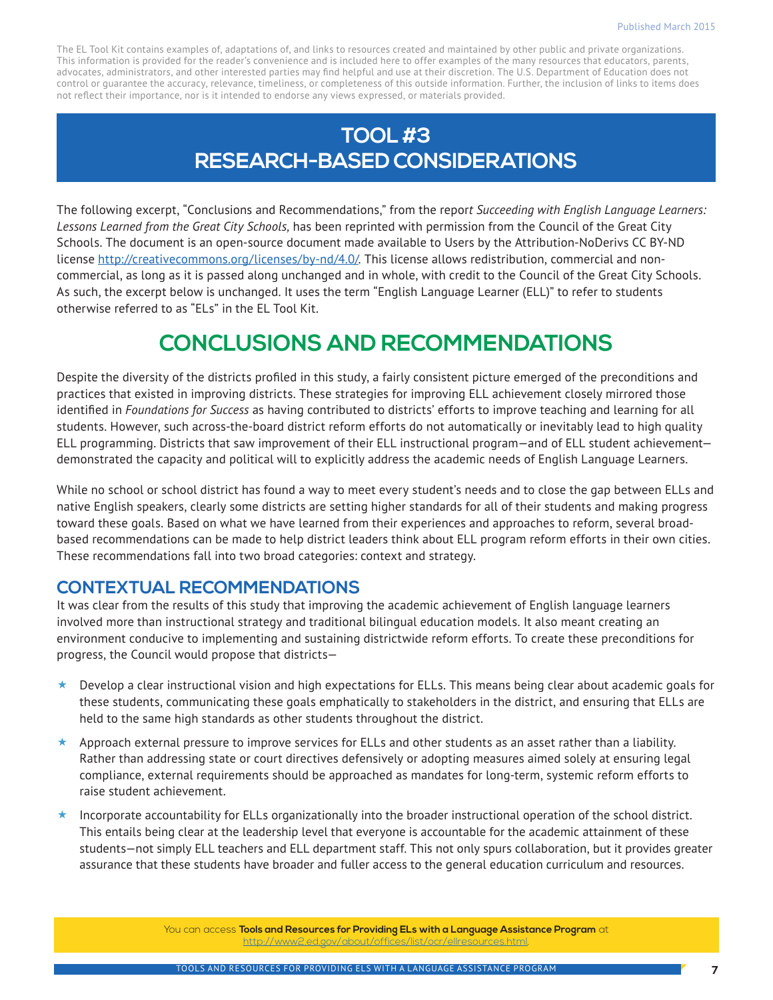### **TOOL #3 RESEARCH-BASED CONSIDERATIONS**

The following excerpt, "Conclusions and Recommendations," from the repor*t Succeeding with English Language Learners: Lessons Learned from the Great City Schools,* has been reprinted with permission from the Council of the Great City Schools. The document is an open-source document made available to Users by the Attribution-NoDerivs CC BY-ND license [http://creativecommons.org/licenses/by-nd/4.0/.](http://creativecommons.org/licenses/by-nd/4.0/) This license allows redistribution, commercial and noncommercial, as long as it is passed along unchanged and in whole, with credit to the Council of the Great City Schools. As such, the excerpt below is unchanged. It uses the term "English Language Learner (ELL)" to refer to students otherwise referred to as "ELs" in the EL Tool Kit.

### **CONCLUSIONS AND RECOMMENDATIONS**

Despite the diversity of the districts profiled in this study, a fairly consistent picture emerged of the preconditions and practices that existed in improving districts. These strategies for improving ELL achievement closely mirrored those identified in *Foundations for Success* as having contributed to districts' efforts to improve teaching and learning for all students. However, such across-the-board district reform efforts do not automatically or inevitably lead to high quality ELL programming. Districts that saw improvement of their ELL instructional program—and of ELL student achievement demonstrated the capacity and political will to explicitly address the academic needs of English Language Learners.

While no school or school district has found a way to meet every student's needs and to close the gap between ELLs and native English speakers, clearly some districts are setting higher standards for all of their students and making progress toward these goals. Based on what we have learned from their experiences and approaches to reform, several broadbased recommendations can be made to help district leaders think about ELL program reform efforts in their own cities. These recommendations fall into two broad categories: context and strategy.

#### **CONTEXTUAL RECOMMENDATIONS**

It was clear from the results of this study that improving the academic achievement of English language learners involved more than instructional strategy and traditional bilingual education models. It also meant creating an environment conducive to implementing and sustaining districtwide reform efforts. To create these preconditions for progress, the Council would propose that districts—

- $\star$  Develop a clear instructional vision and high expectations for ELLs. This means being clear about academic goals for these students, communicating these goals emphatically to stakeholders in the district, and ensuring that ELLs are held to the same high standards as other students throughout the district.
- $\star$  Approach external pressure to improve services for ELLs and other students as an asset rather than a liability. Rather than addressing state or court directives defensively or adopting measures aimed solely at ensuring legal compliance, external requirements should be approached as mandates for long-term, systemic reform efforts to raise student achievement.
- Incorporate accountability for ELLs organizationally into the broader instructional operation of the school district. This entails being clear at the leadership level that everyone is accountable for the academic attainment of these students—not simply ELL teachers and ELL department staff. This not only spurs collaboration, but it provides greater assurance that these students have broader and fuller access to the general education curriculum and resources.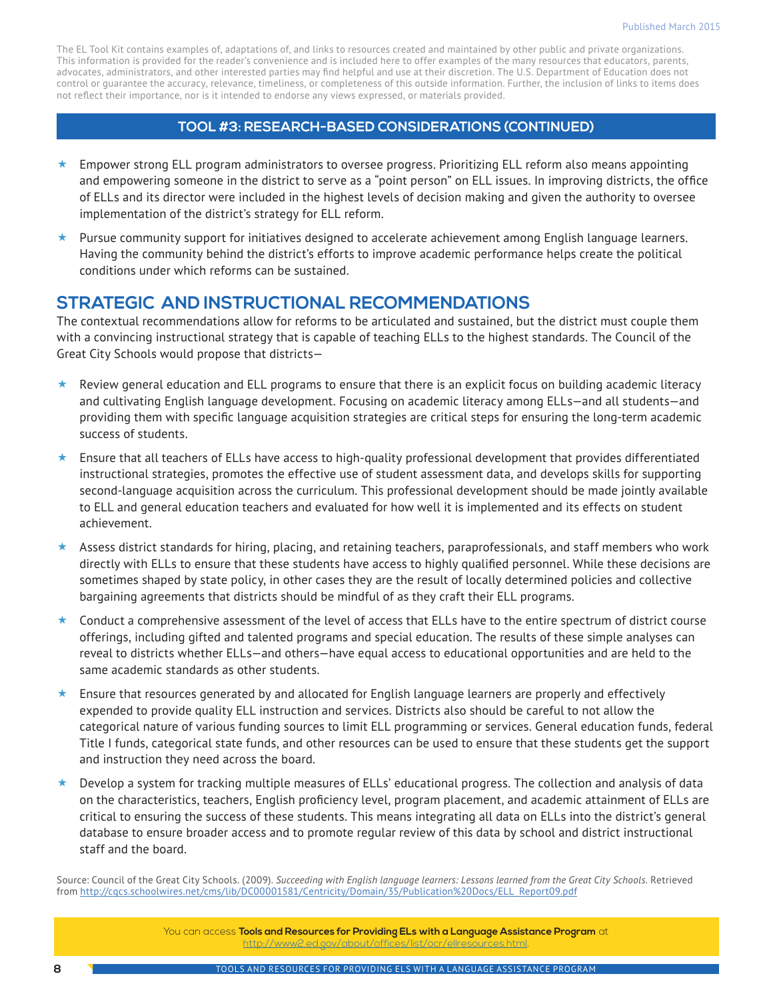#### **TOOL #3: RESEARCH-BASED CONSIDERATIONS (CONTINUED)**

- $\star$  Empower strong ELL program administrators to oversee progress. Prioritizing ELL reform also means appointing and empowering someone in the district to serve as a "point person" on ELL issues. In improving districts, the office of ELLs and its director were included in the highest levels of decision making and given the authority to oversee implementation of the district's strategy for ELL reform.
- $\star$  Pursue community support for initiatives designed to accelerate achievement among English language learners. Having the community behind the district's efforts to improve academic performance helps create the political conditions under which reforms can be sustained.

### **STRATEGIC AND INSTRUCTIONAL RECOMMENDATIONS**

The contextual recommendations allow for reforms to be articulated and sustained, but the district must couple them with a convincing instructional strategy that is capable of teaching ELLs to the highest standards. The Council of the Great City Schools would propose that districts—

- Review general education and ELL programs to ensure that there is an explicit focus on building academic literacy and cultivating English language development. Focusing on academic literacy among ELLs—and all students—and providing them with specific language acquisition strategies are critical steps for ensuring the long-term academic success of students.
- $\star$  Ensure that all teachers of ELLs have access to high-quality professional development that provides differentiated instructional strategies, promotes the effective use of student assessment data, and develops skills for supporting second-language acquisition across the curriculum. This professional development should be made jointly available to ELL and general education teachers and evaluated for how well it is implemented and its effects on student achievement.
- $\star$  Assess district standards for hiring, placing, and retaining teachers, paraprofessionals, and staff members who work directly with ELLs to ensure that these students have access to highly qualified personnel. While these decisions are sometimes shaped by state policy, in other cases they are the result of locally determined policies and collective bargaining agreements that districts should be mindful of as they craft their ELL programs.
- $\star$  Conduct a comprehensive assessment of the level of access that ELLs have to the entire spectrum of district course offerings, including gifted and talented programs and special education. The results of these simple analyses can reveal to districts whether ELLs—and others—have equal access to educational opportunities and are held to the same academic standards as other students.
- Ensure that resources generated by and allocated for English language learners are properly and effectively expended to provide quality ELL instruction and services. Districts also should be careful to not allow the categorical nature of various funding sources to limit ELL programming or services. General education funds, federal Title I funds, categorical state funds, and other resources can be used to ensure that these students get the support and instruction they need across the board.
- Develop a system for tracking multiple measures of ELLs' educational progress. The collection and analysis of data on the characteristics, teachers, English proficiency level, program placement, and academic attainment of ELLs are critical to ensuring the success of these students. This means integrating all data on ELLs into the district's general database to ensure broader access and to promote regular review of this data by school and district instructional staff and the board.

Source: Council of the Great City Schools. (2009). *Succeeding with English language learners: Lessons learned from the Great City Schools.* Retrieved from [http://cgcs.schoolwires.net/cms/lib/DC00001581/Centricity/Domain/35/Publication%20Docs/ELL\\_Report09.pdf](http://cgcs.schoolwires.net/cms/lib/DC00001581/Centricity/Domain/35/Publication%20Docs/ELL_Report09.pdf)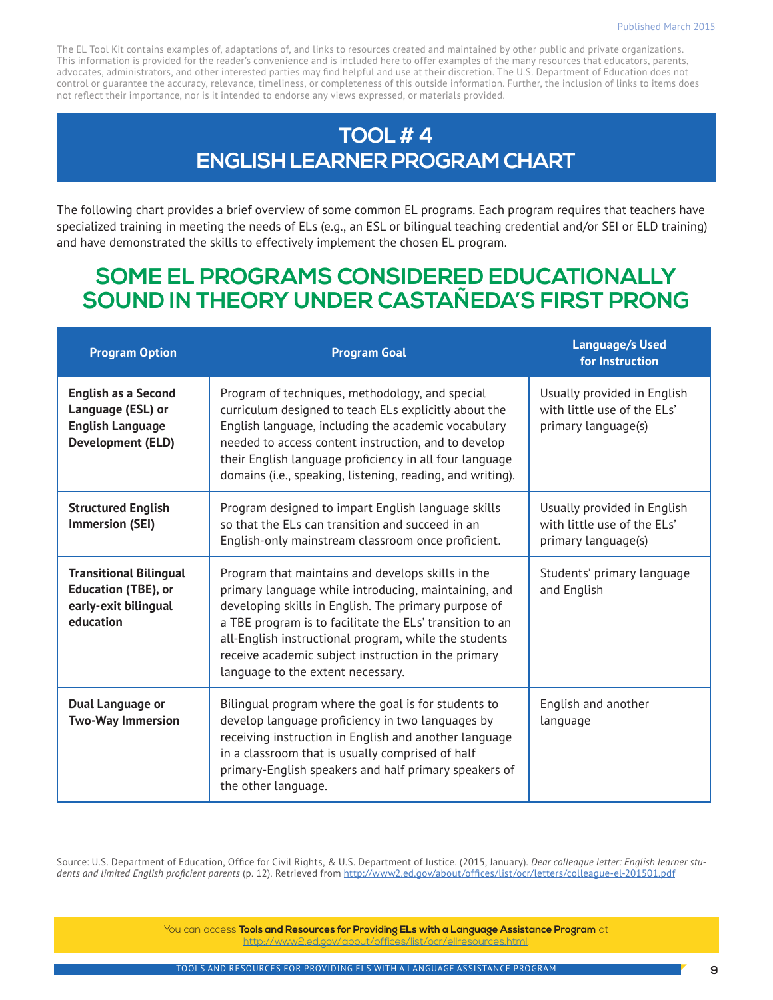### **TOOL # 4 ENGLISH LEARNER PROGRAM CHART**

The following chart provides a brief overview of some common EL programs. Each program requires that teachers have specialized training in meeting the needs of ELs (e.g., an ESL or bilingual teaching credential and/or SEI or ELD training) and have demonstrated the skills to effectively implement the chosen EL program.

### **SOME EL PROGRAMS CONSIDERED EDUCATIONALLY SOUND IN THEORY UNDER CASTAÑEDA'S FIRST PRONG**

| <b>Program Option</b>                                                                                  | <b>Program Goal</b>                                                                                                                                                                                                                                                                                                                                                                | <b>Language/s Used</b><br>for Instruction                                         |
|--------------------------------------------------------------------------------------------------------|------------------------------------------------------------------------------------------------------------------------------------------------------------------------------------------------------------------------------------------------------------------------------------------------------------------------------------------------------------------------------------|-----------------------------------------------------------------------------------|
| <b>English as a Second</b><br>Language (ESL) or<br><b>English Language</b><br><b>Development (ELD)</b> | Program of techniques, methodology, and special<br>curriculum designed to teach ELs explicitly about the<br>English language, including the academic vocabulary<br>needed to access content instruction, and to develop<br>their English language proficiency in all four language<br>domains (i.e., speaking, listening, reading, and writing).                                   | Usually provided in English<br>with little use of the ELs'<br>primary language(s) |
| <b>Structured English</b><br><b>Immersion (SEI)</b>                                                    | Program designed to impart English language skills<br>so that the ELs can transition and succeed in an<br>English-only mainstream classroom once proficient.                                                                                                                                                                                                                       | Usually provided in English<br>with little use of the ELs'<br>primary language(s) |
| <b>Transitional Bilingual</b><br><b>Education (TBE), or</b><br>early-exit bilingual<br>education       | Program that maintains and develops skills in the<br>primary language while introducing, maintaining, and<br>developing skills in English. The primary purpose of<br>a TBE program is to facilitate the ELs' transition to an<br>all-English instructional program, while the students<br>receive academic subject instruction in the primary<br>language to the extent necessary. | Students' primary language<br>and English                                         |
| <b>Dual Language or</b><br><b>Two-Way Immersion</b>                                                    | Bilingual program where the goal is for students to<br>develop language proficiency in two languages by<br>receiving instruction in English and another language<br>in a classroom that is usually comprised of half<br>primary-English speakers and half primary speakers of<br>the other language.                                                                               | English and another<br>language                                                   |

Source: U.S. Department of Education, Office for Civil Rights, & U.S. Department of Justice. (2015, January). *Dear colleague letter: English learner students and limited English proficient parents* (p. 12). Retrieved from<http://www2.ed.gov/about/offices/list/ocr/letters/colleague-el-201501.pdf>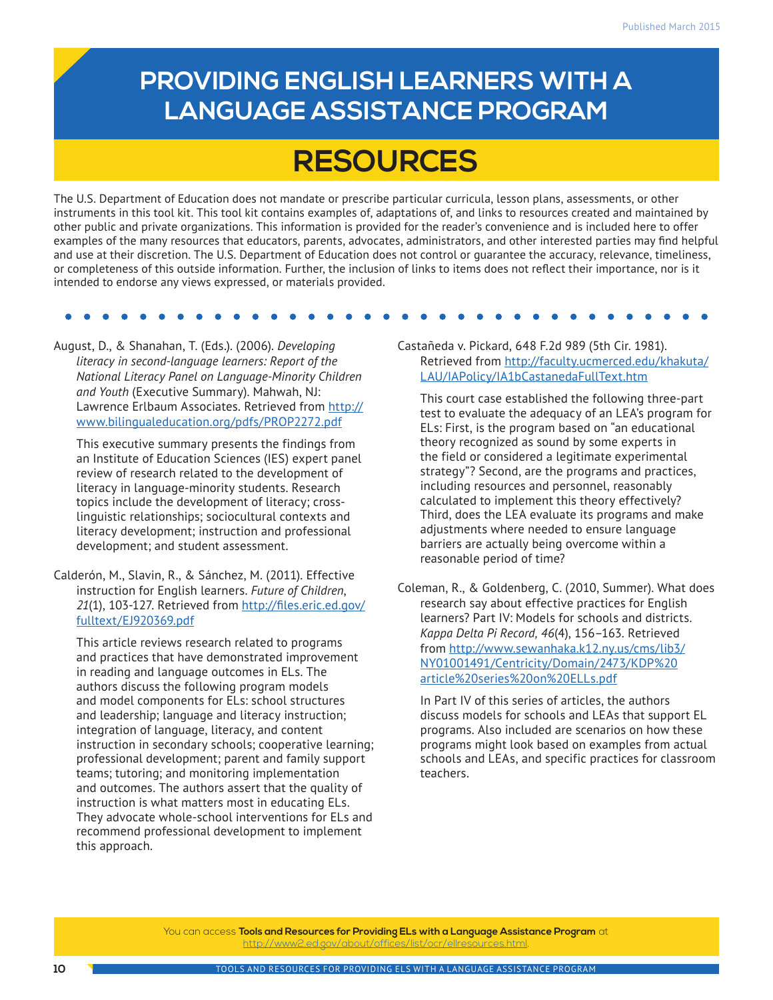## **PROVIDING ENGLISH LEARNERS WITH A LANGUAGE ASSISTANCE PROGRAM**

# **RESOURCES**

The U.S. Department of Education does not mandate or prescribe particular curricula, lesson plans, assessments, or other instruments in this tool kit. This tool kit contains examples of, adaptations of, and links to resources created and maintained by other public and private organizations. This information is provided for the reader's convenience and is included here to offer examples of the many resources that educators, parents, advocates, administrators, and other interested parties may find helpful and use at their discretion. The U.S. Department of Education does not control or guarantee the accuracy, relevance, timeliness, or completeness of this outside information. Further, the inclusion of links to items does not reflect their importance, nor is it intended to endorse any views expressed, or materials provided.

August, D., & Shanahan, T. (Eds.). (2006). *Developing literacy in second-language learners: Report of the National Literacy Panel on Language-Minority Children and Youth* (Executive Summary). Mahwah, NJ: Lawrence Erlbaum Associates. Retrieved from [http://](http://www.bilingualeducation.org/pdfs/PROP2272.pdf) [www.bilingualeducation.org/pdfs/PROP2272.pdf](http://www.bilingualeducation.org/pdfs/PROP2272.pdf)

This executive summary presents the findings from an Institute of Education Sciences (IES) expert panel review of research related to the development of literacy in language-minority students. Research topics include the development of literacy; crosslinguistic relationships; sociocultural contexts and literacy development; instruction and professional development; and student assessment.

Calderón, M., Slavin, R., & Sánchez, M. (2011). Effective instruction for English learners. *Future of Children*, *21*(1), 103-127. Retrieved from [http://files.eric.ed.gov/](http://files.eric.ed.gov/fulltext/EJ920369.pdf) [fulltext/EJ920369.pdf](http://files.eric.ed.gov/fulltext/EJ920369.pdf)

This article reviews research related to programs and practices that have demonstrated improvement in reading and language outcomes in ELs. The authors discuss the following program models and model components for ELs: school structures and leadership; language and literacy instruction; integration of language, literacy, and content instruction in secondary schools; cooperative learning; professional development; parent and family support teams; tutoring; and monitoring implementation and outcomes. The authors assert that the quality of instruction is what matters most in educating ELs. They advocate whole-school interventions for ELs and recommend professional development to implement this approach.

Castañeda v. Pickard, 648 F.2d 989 (5th Cir. 1981). Retrieved from [http://faculty.ucmerced.edu/khakuta/](http://faculty.ucmerced.edu/khakuta/LAU/IAPolicy/IA1bCastanedaFullText.htm) [LAU/IAPolicy/IA1bCastanedaFullText.htm](http://faculty.ucmerced.edu/khakuta/LAU/IAPolicy/IA1bCastanedaFullText.htm)

This court case established the following three-part test to evaluate the adequacy of an LEA's program for ELs: First, is the program based on "an educational theory recognized as sound by some experts in the field or considered a legitimate experimental strategy"? Second, are the programs and practices, including resources and personnel, reasonably calculated to implement this theory effectively? Third, does the LEA evaluate its programs and make adjustments where needed to ensure language barriers are actually being overcome within a reasonable period of time?

Coleman, R., & Goldenberg, C. (2010, Summer). What does research say about effective practices for English learners? Part IV: Models for schools and districts. *Kappa Delta Pi Record, 46*(4), 156–163. Retrieved from [http://www.sewanhaka.k12.ny.us/cms/lib3/](http://www.sewanhaka.k12.ny.us/cms/lib3/NY01001491/Centricity/Domain/2473/KDP%20article%20series%20on%20ELLs.pdf) [NY01001491/Centricity/Domain/2473/KDP%20](http://www.sewanhaka.k12.ny.us/cms/lib3/NY01001491/Centricity/Domain/2473/KDP%20article%20series%20on%20ELLs.pdf) [article%20series%20on%20ELLs.pdf](http://www.sewanhaka.k12.ny.us/cms/lib3/NY01001491/Centricity/Domain/2473/KDP%20article%20series%20on%20ELLs.pdf)

In Part IV of this series of articles, the authors discuss models for schools and LEAs that support EL programs. Also included are scenarios on how these programs might look based on examples from actual schools and LEAs, and specific practices for classroom teachers.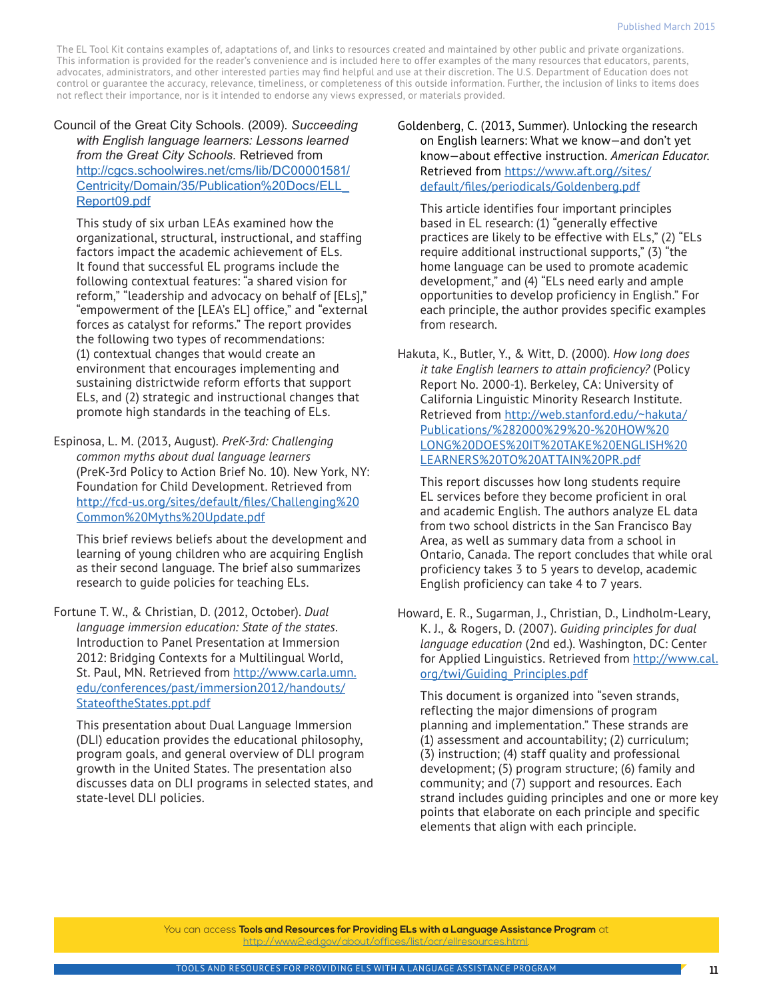Council of the Great City Schools. (2009). *Succeeding with English language learners: Lessons learned from the Great City Schools.* Retrieved from [http://cgcs.schoolwires.net/cms/lib/DC00001581/](http://cgcs.schoolwires.net/cms/lib/DC00001581/Centricity/Domain/35/Publication%20Docs/ELL_Report09.pdf) [Centricity/Domain/35/Publication%20Docs/ELL\\_](http://cgcs.schoolwires.net/cms/lib/DC00001581/Centricity/Domain/35/Publication%20Docs/ELL_Report09.pdf) [Report09.pdf](http://cgcs.schoolwires.net/cms/lib/DC00001581/Centricity/Domain/35/Publication%20Docs/ELL_Report09.pdf)

This study of six urban LEAs examined how the organizational, structural, instructional, and staffing factors impact the academic achievement of ELs. It found that successful EL programs include the following contextual features: "a shared vision for reform," "leadership and advocacy on behalf of [ELs]," "empowerment of the [LEA's EL] office," and "external forces as catalyst for reforms." The report provides the following two types of recommendations: (1) contextual changes that would create an environment that encourages implementing and sustaining districtwide reform efforts that support ELs, and (2) strategic and instructional changes that promote high standards in the teaching of ELs.

Espinosa, L. M. (2013, August). *PreK-3rd: Challenging common myths about dual language learners* (PreK-3rd Policy to Action Brief No. 10). New York, NY: Foundation for Child Development. Retrieved from [http://fcd-us.org/sites/default/files/Challenging%20](http://fcd-us.org/sites/default/files/Challenging%20Common%20Myths%20Update.pdf) [Common%20Myths%20Update.pdf](http://fcd-us.org/sites/default/files/Challenging%20Common%20Myths%20Update.pdf)

This brief reviews beliefs about the development and learning of young children who are acquiring English as their second language. The brief also summarizes research to guide policies for teaching ELs.

Fortune T. W., & Christian, D. (2012, October). *Dual language immersion education: State of the states*. Introduction to Panel Presentation at Immersion 2012: Bridging Contexts for a Multilingual World, St. Paul, MN. Retrieved from [http://www.carla.umn.](http://www.carla.umn.edu/conferences/past/immersion2012/handouts/StateoftheStates.ppt.pdf) [edu/conferences/past/immersion2012/handouts/](http://www.carla.umn.edu/conferences/past/immersion2012/handouts/StateoftheStates.ppt.pdf) [StateoftheStates.ppt.pdf](http://www.carla.umn.edu/conferences/past/immersion2012/handouts/StateoftheStates.ppt.pdf)

This presentation about Dual Language Immersion (DLI) education provides the educational philosophy, program goals, and general overview of DLI program growth in the United States. The presentation also discusses data on DLI programs in selected states, and state-level DLI policies.

Goldenberg, C. (2013, Summer). Unlocking the research on English learners: What we know—and don't yet know—about effective instruction. *American Educator*. Retrieved from [https://www.aft.org//sites/](https://www.aft.org//sites/default/files/periodicals/Goldenberg.pdf) [default/files/periodicals/Goldenberg.pdf](https://www.aft.org//sites/default/files/periodicals/Goldenberg.pdf)

This article identifies four important principles based in EL research: (1) "generally effective practices are likely to be effective with ELs," (2) "ELs require additional instructional supports," (3) "the home language can be used to promote academic development," and (4) "ELs need early and ample opportunities to develop proficiency in English." For each principle, the author provides specific examples from research.

Hakuta, K., Butler, Y., & Witt, D. (2000). *How long does it take English learners to attain proficiency?* (Policy Report No. 2000-1). Berkeley, CA: University of California Linguistic Minority Research Institute. Retrieved from [http://web.stanford.edu/~hakuta/](http://web.stanford.edu/~hakuta/Publications/%282000%29%20-%20HOW%20LONG%20DOES%20IT%20TAKE%20ENGLISH%20LEARNERS%20TO%20ATTAIN%20PR.pdf) [Publications/%282000%29%20-%20HOW%20](http://web.stanford.edu/~hakuta/Publications/%282000%29%20-%20HOW%20LONG%20DOES%20IT%20TAKE%20ENGLISH%20LEARNERS%20TO%20ATTAIN%20PR.pdf) [LONG%20DOES%20IT%20TAKE%20ENGLISH%20](http://web.stanford.edu/~hakuta/Publications/%282000%29%20-%20HOW%20LONG%20DOES%20IT%20TAKE%20ENGLISH%20LEARNERS%20TO%20ATTAIN%20PR.pdf) [LEARNERS%20TO%20ATTAIN%20PR.pdf](http://web.stanford.edu/~hakuta/Publications/%282000%29%20-%20HOW%20LONG%20DOES%20IT%20TAKE%20ENGLISH%20LEARNERS%20TO%20ATTAIN%20PR.pdf)

This report discusses how long students require EL services before they become proficient in oral and academic English. The authors analyze EL data from two school districts in the San Francisco Bay Area, as well as summary data from a school in Ontario, Canada. The report concludes that while oral proficiency takes 3 to 5 years to develop, academic English proficiency can take 4 to 7 years.

Howard, E. R., Sugarman, J., Christian, D., Lindholm-Leary, K. J., & Rogers, D. (2007). *Guiding principles for dual language education* (2nd ed.). Washington, DC: Center for Applied Linguistics. Retrieved from [http://www.cal.](http://www.cal.org/twi/Guiding_Principles.pdf) [org/twi/Guiding\\_Principles.pdf](http://www.cal.org/twi/Guiding_Principles.pdf)

This document is organized into "seven strands, reflecting the major dimensions of program planning and implementation." These strands are (1) assessment and accountability; (2) curriculum; (3) instruction; (4) staff quality and professional development; (5) program structure; (6) family and community; and (7) support and resources. Each strand includes guiding principles and one or more key points that elaborate on each principle and specific elements that align with each principle.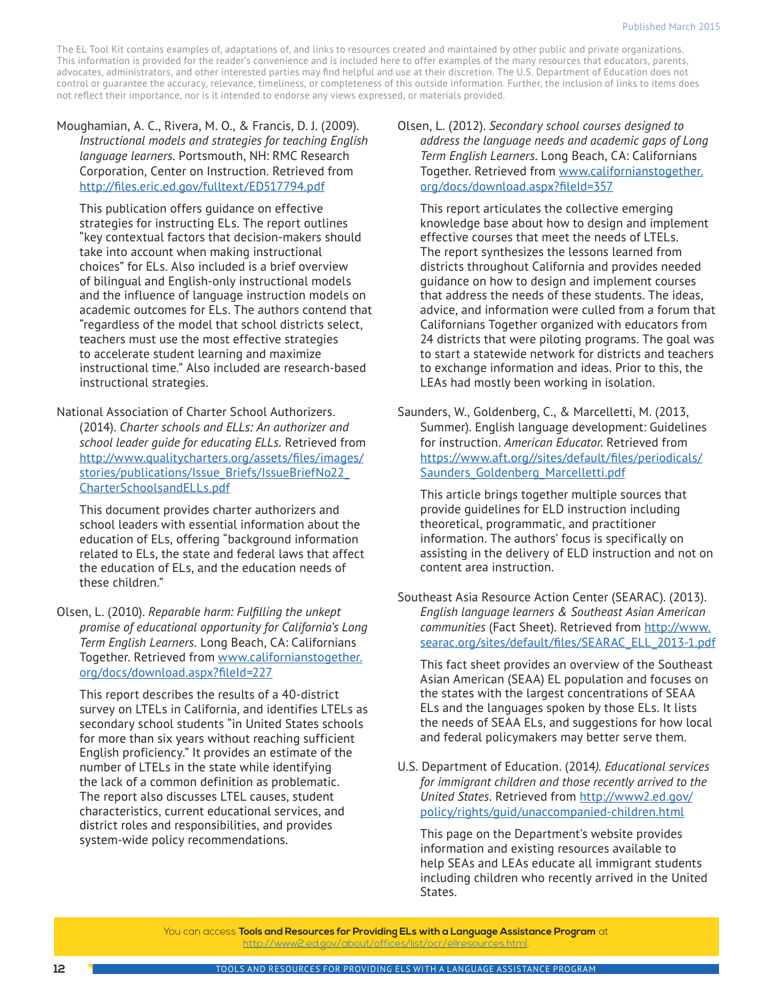Moughamian, A. C., Rivera, M. O., & Francis, D. J. (2009). *Instructional models and strategies for teaching English language learners*. Portsmouth, NH: RMC Research Corporation, Center on Instruction. Retrieved from <http://files.eric.ed.gov/fulltext/ED517794.pdf>

This publication offers guidance on effective strategies for instructing ELs. The report outlines "key contextual factors that decision-makers should take into account when making instructional choices" for ELs. Also included is a brief overview of bilingual and English-only instructional models and the influence of language instruction models on academic outcomes for ELs. The authors contend that "regardless of the model that school districts select, teachers must use the most effective strategies to accelerate student learning and maximize instructional time." Also included are research-based instructional strategies.

National Association of Charter School Authorizers. (2014). *Charter schools and ELLs: An authorizer and school leader guide for educating ELLs.* Retrieved from [http://www.qualitycharters.org/assets/files/images/](http://www.qualitycharters.org/assets/files/images/stories/publications/Issue_Briefs/IssueBriefNo22_CharterSchoolsandELLs.pdf) stories/publications/Issue\_Briefs/IssueBriefNo22 [CharterSchoolsandELLs.pdf](http://www.qualitycharters.org/assets/files/images/stories/publications/Issue_Briefs/IssueBriefNo22_CharterSchoolsandELLs.pdf)

This document provides charter authorizers and school leaders with essential information about the education of ELs, offering "background information related to ELs, the state and federal laws that affect the education of ELs, and the education needs of these children."

Olsen, L. (2010). *[Reparable harm: Fulfilling the unkept](http://laurieolsen.com/wp-content/uploads/2013/07/ReparableHarm2ndedition-1.pdf)  [promise of educational opportunity for California's Long](http://laurieolsen.com/wp-content/uploads/2013/07/ReparableHarm2ndedition-1.pdf)  [Term English Learners.](http://laurieolsen.com/wp-content/uploads/2013/07/ReparableHarm2ndedition-1.pdf)* Long Beach, CA: Californians Together. Retrieved from [www.californianstogether.](http://www.californianstogether.org/docs/download.aspx?fileId=227) [org/docs/download.aspx?fileId=227](http://www.californianstogether.org/docs/download.aspx?fileId=227)

This report describes the results of a 40-district survey on LTELs in California, and identifies LTELs as secondary school students "in United States schools for more than six years without reaching sufficient English proficiency." It provides an estimate of the number of LTELs in the state while identifying the lack of a common definition as problematic. The report also discusses LTEL causes, student characteristics, current educational services, and district roles and responsibilities, and provides system-wide policy recommendations.

Olsen, L. (2012). *[Secondary school courses designed to](http://laurieolsen.com/wp-content/uploads/SecondarySchoolsLTELreport.pdf)  [address the language needs and academic gaps of Long](http://laurieolsen.com/wp-content/uploads/SecondarySchoolsLTELreport.pdf)  [Term English Learners](http://laurieolsen.com/wp-content/uploads/SecondarySchoolsLTELreport.pdf)*. Long Beach, CA: Californians Together. Retrieved from [www.californianstogether.](http://www.californianstogether.org/docs/download.aspx?fileId=357) [org/docs/download.aspx?fileId=357](http://www.californianstogether.org/docs/download.aspx?fileId=357)

This report articulates the collective emerging knowledge base about how to design and implement effective courses that meet the needs of LTELs. The report synthesizes the lessons learned from districts throughout California and provides needed guidance on how to design and implement courses that address the needs of these students. The ideas, advice, and information were culled from a forum that Californians Together organized with educators from 24 districts that were piloting programs. The goal was to start a statewide network for districts and teachers to exchange information and ideas. Prior to this, the LEAs had mostly been working in isolation.

Saunders, W., Goldenberg, C., & Marcelletti, M. (2013, Summer). English language development: Guidelines for instruction. *American Educator*. Retrieved from [https://www.aft.org//sites/default/files/periodicals/](https://www.aft.org//sites/default/files/periodicals/Saunders_Goldenberg_Marcelletti.pdf) Saunders Goldenberg Marcelletti.pdf

This article brings together multiple sources that provide guidelines for ELD instruction including theoretical, programmatic, and practitioner information. The authors' focus is specifically on assisting in the delivery of ELD instruction and not on content area instruction.

Southeast Asia Resource Action Center (SEARAC). (2013). *English language learners & Southeast Asian American communities* (Fact Sheet). Retrieved from [http://www.](http://www.searac.org/sites/default/files/SEARAC_ELL_2013-1.pdf) [searac.org/sites/default/files/SEARAC\\_ELL\\_2013-1.pdf](http://www.searac.org/sites/default/files/SEARAC_ELL_2013-1.pdf)

This fact sheet provides an overview of the Southeast Asian American (SEAA) EL population and focuses on the states with the largest concentrations of SEAA ELs and the languages spoken by those ELs. It lists the needs of SEAA ELs, and suggestions for how local and federal policymakers may better serve them.

U.S. Department of Education. (2014*). Educational services for immigrant children and those recently arrived to the United States*. Retrieved from [http://www2.ed.gov/](http://www2.ed.gov/policy/rights/guid/unaccompanied-children.html) [policy/rights/guid/unaccompanied-children.html](http://www2.ed.gov/policy/rights/guid/unaccompanied-children.html)

This page on the Department's website provides information and existing resources available to help SEAs and LEAs educate all immigrant students including children who recently arrived in the United States.